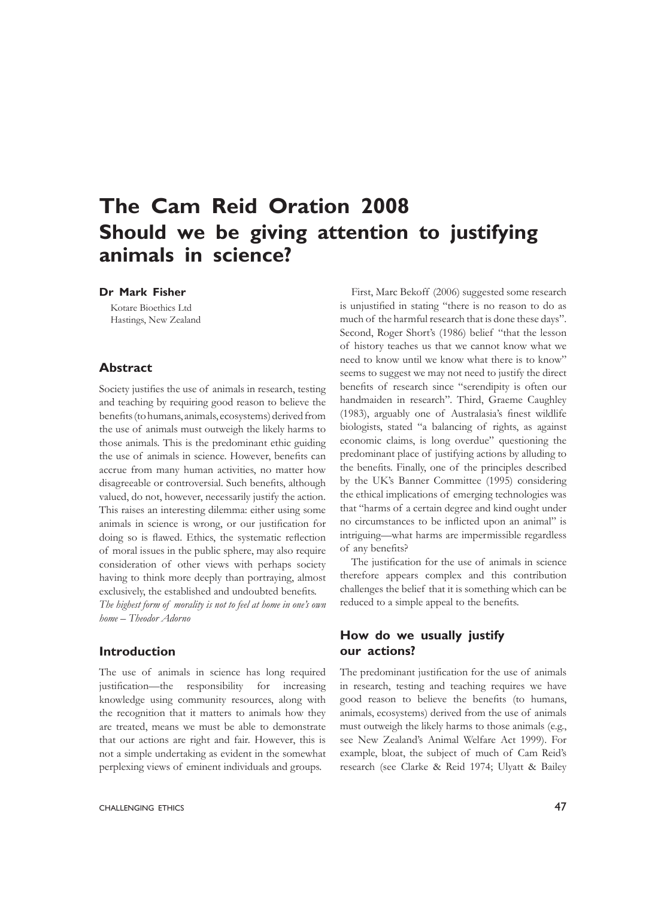# **The Cam Reid Oration 2008 Should we be giving attention to justifying animals in science?**

## **Dr Mark Fisher**

Kotare Bioethics Ltd Hastings, New Zealand

#### **Abstract**

Society justifies the use of animals in research, testing and teaching by requiring good reason to believe the benefits (to humans, animals, ecosystems) derived from the use of animals must outweigh the likely harms to those animals. This is the predominant ethic guiding the use of animals in science. However, benefits can accrue from many human activities, no matter how disagreeable or controversial. Such benefits, although valued, do not, however, necessarily justify the action. This raises an interesting dilemma: either using some animals in science is wrong, or our justification for doing so is flawed. Ethics, the systematic reflection of moral issues in the public sphere, may also require consideration of other views with perhaps society having to think more deeply than portraying, almost exclusively, the established and undoubted benefits.

*The highest form of morality is not to feel at home in one's own home – Theodor Adorno*

#### **Introduction**

The use of animals in science has long required justification—the responsibility for increasing knowledge using community resources, along with the recognition that it matters to animals how they are treated, means we must be able to demonstrate that our actions are right and fair. However, this is not a simple undertaking as evident in the somewhat perplexing views of eminent individuals and groups.

First, Marc Bekoff (2006) suggested some research is unjustified in stating "there is no reason to do as much of the harmful research that is done these days". Second, Roger Short's (1986) belief "that the lesson of history teaches us that we cannot know what we need to know until we know what there is to know" seems to suggest we may not need to justify the direct benefits of research since "serendipity is often our handmaiden in research". Third, Graeme Caughley (1983), arguably one of Australasia's finest wildlife biologists, stated "a balancing of rights, as against economic claims, is long overdue" questioning the predominant place of justifying actions by alluding to the benefits. Finally, one of the principles described by the UK's Banner Committee (1995) considering the ethical implications of emerging technologies was that "harms of a certain degree and kind ought under no circumstances to be inflicted upon an animal" is intriguing—what harms are impermissible regardless of any benefits?

The justification for the use of animals in science therefore appears complex and this contribution challenges the belief that it is something which can be reduced to a simple appeal to the benefits.

## **How do we usually justify our actions?**

The predominant justification for the use of animals in research, testing and teaching requires we have good reason to believe the benefits (to humans, animals, ecosystems) derived from the use of animals must outweigh the likely harms to those animals (e.g., see New Zealand's Animal Welfare Act 1999). For example, bloat, the subject of much of Cam Reid's research (see Clarke & Reid 1974; Ulyatt & Bailey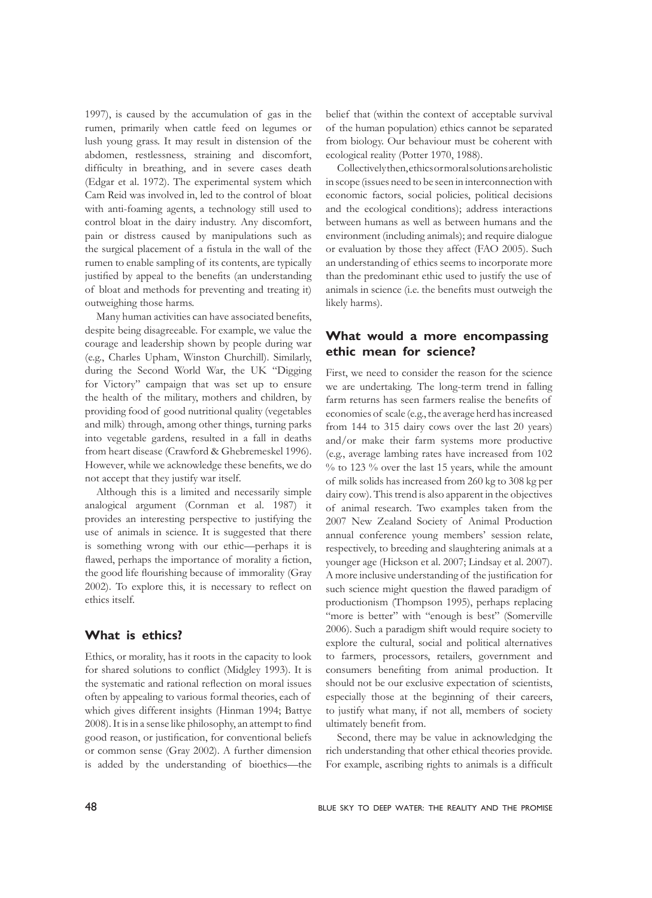1997), is caused by the accumulation of gas in the rumen, primarily when cattle feed on legumes or lush young grass. It may result in distension of the abdomen, restlessness, straining and discomfort, difficulty in breathing, and in severe cases death (Edgar et al. 1972). The experimental system which Cam Reid was involved in, led to the control of bloat with anti-foaming agents, a technology still used to control bloat in the dairy industry. Any discomfort, pain or distress caused by manipulations such as the surgical placement of a fistula in the wall of the rumen to enable sampling of its contents, are typically justified by appeal to the benefits (an understanding of bloat and methods for preventing and treating it) outweighing those harms.

Many human activities can have associated benefits, despite being disagreeable. For example, we value the courage and leadership shown by people during war (e.g., Charles Upham, Winston Churchill). Similarly, during the Second World War, the UK "Digging for Victory" campaign that was set up to ensure the health of the military, mothers and children, by providing food of good nutritional quality (vegetables and milk) through, among other things, turning parks into vegetable gardens, resulted in a fall in deaths from heart disease (Crawford & Ghebremeskel 1996). However, while we acknowledge these benefits, we do not accept that they justify war itself.

Although this is a limited and necessarily simple analogical argument (Cornman et al. 1987) it provides an interesting perspective to justifying the use of animals in science. It is suggested that there is something wrong with our ethic—perhaps it is flawed, perhaps the importance of morality a fiction, the good life flourishing because of immorality (Gray 2002). To explore this, it is necessary to reflect on ethics itself.

## **What is ethics?**

Ethics, or morality, has it roots in the capacity to look for shared solutions to conflict (Midgley 1993). It is the systematic and rational reflection on moral issues often by appealing to various formal theories, each of which gives different insights (Hinman 1994; Battye 2008). It is in a sense like philosophy, an attempt to find good reason, or justification, for conventional beliefs or common sense (Gray 2002). A further dimension is added by the understanding of bioethics—the

belief that (within the context of acceptable survival of the human population) ethics cannot be separated from biology. Our behaviour must be coherent with ecological reality (Potter 1970, 1988).

Collectively then, ethics or moral solutions are holistic in scope (issues need to be seen in interconnection with economic factors, social policies, political decisions and the ecological conditions); address interactions between humans as well as between humans and the environment (including animals); and require dialogue or evaluation by those they affect (FAO 2005). Such an understanding of ethics seems to incorporate more than the predominant ethic used to justify the use of animals in science (i.e. the benefits must outweigh the likely harms).

# **What would a more encompassing ethic mean for science?**

First, we need to consider the reason for the science we are undertaking. The long-term trend in falling farm returns has seen farmers realise the benefits of economies of scale (e.g., the average herd has increased from 144 to 315 dairy cows over the last 20 years) and/or make their farm systems more productive (e.g., average lambing rates have increased from 102 % to 123 % over the last 15 years, while the amount of milk solids has increased from 260 kg to 308 kg per dairy cow). This trend is also apparent in the objectives of animal research. Two examples taken from the 2007 New Zealand Society of Animal Production annual conference young members' session relate, respectively, to breeding and slaughtering animals at a younger age (Hickson et al. 2007; Lindsay et al. 2007). A more inclusive understanding of the justification for such science might question the flawed paradigm of productionism (Thompson 1995), perhaps replacing "more is better" with "enough is best" (Somerville 2006). Such a paradigm shift would require society to explore the cultural, social and political alternatives to farmers, processors, retailers, government and consumers benefiting from animal production. It should not be our exclusive expectation of scientists, especially those at the beginning of their careers, to justify what many, if not all, members of society ultimately benefit from.

Second, there may be value in acknowledging the rich understanding that other ethical theories provide. For example, ascribing rights to animals is a difficult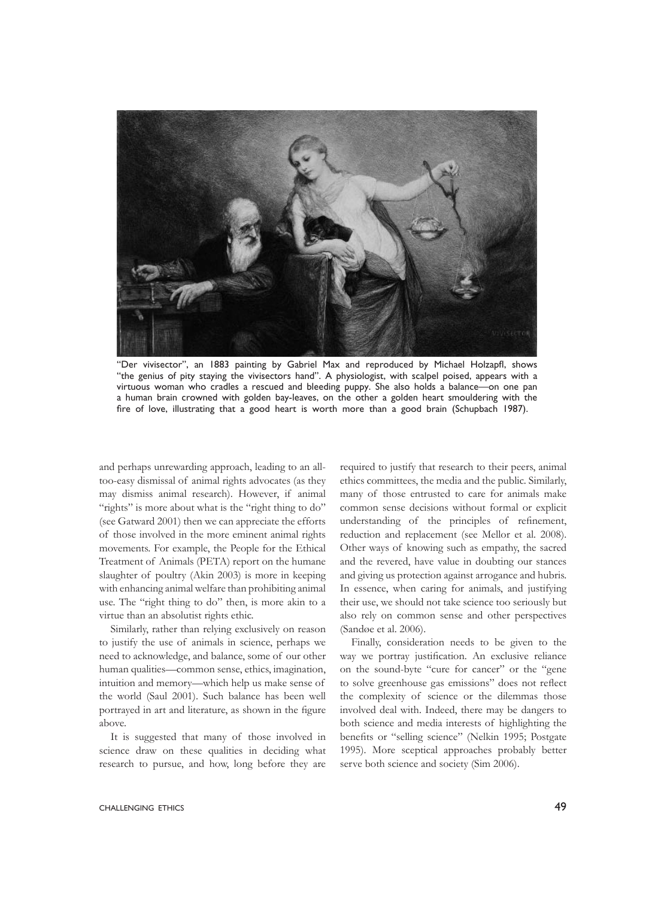

"Der vivisector", an 1883 painting by Gabriel Max and reproduced by Michael Holzapfl, shows "the genius of pity staying the vivisectors hand". A physiologist, with scalpel poised, appears with a virtuous woman who cradles a rescued and bleeding puppy. She also holds a balance—on one pan a human brain crowned with golden bay-leaves, on the other a golden heart smouldering with the fire of love, illustrating that a good heart is worth more than a good brain (Schupbach 1987).

and perhaps unrewarding approach, leading to an alltoo-easy dismissal of animal rights advocates (as they may dismiss animal research). However, if animal "rights" is more about what is the "right thing to do" (see Gatward 2001) then we can appreciate the efforts of those involved in the more eminent animal rights movements. For example, the People for the Ethical Treatment of Animals (PETA) report on the humane slaughter of poultry (Akin 2003) is more in keeping with enhancing animal welfare than prohibiting animal use. The "right thing to do" then, is more akin to a virtue than an absolutist rights ethic.

Similarly, rather than relying exclusively on reason to justify the use of animals in science, perhaps we need to acknowledge, and balance, some of our other human qualities—common sense, ethics, imagination, intuition and memory—which help us make sense of the world (Saul 2001). Such balance has been well portrayed in art and literature, as shown in the figure above.

It is suggested that many of those involved in science draw on these qualities in deciding what research to pursue, and how, long before they are

required to justify that research to their peers, animal ethics committees, the media and the public. Similarly, many of those entrusted to care for animals make common sense decisions without formal or explicit understanding of the principles of refinement, reduction and replacement (see Mellor et al. 2008). Other ways of knowing such as empathy, the sacred and the revered, have value in doubting our stances and giving us protection against arrogance and hubris. In essence, when caring for animals, and justifying their use, we should not take science too seriously but also rely on common sense and other perspectives (Sandøe et al. 2006).

Finally, consideration needs to be given to the way we portray justification. An exclusive reliance on the sound-byte "cure for cancer" or the "gene to solve greenhouse gas emissions" does not reflect the complexity of science or the dilemmas those involved deal with. Indeed, there may be dangers to both science and media interests of highlighting the benefits or "selling science" (Nelkin 1995; Postgate 1995). More sceptical approaches probably better serve both science and society (Sim 2006).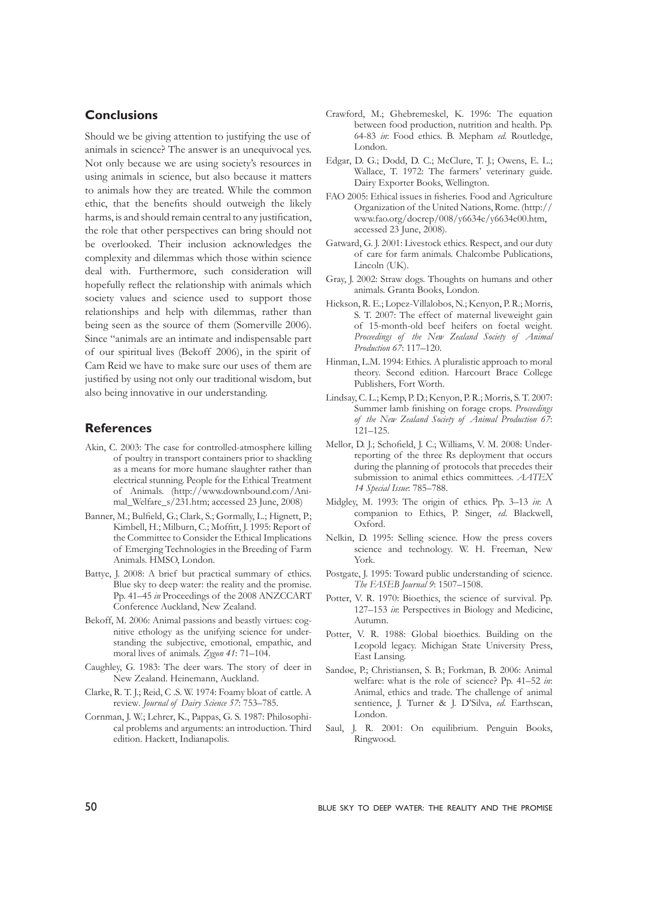## **Conclusions**

Should we be giving attention to justifying the use of animals in science? The answer is an unequivocal yes. Not only because we are using society's resources in using animals in science, but also because it matters to animals how they are treated. While the common ethic, that the benefits should outweigh the likely harms, is and should remain central to any justification, the role that other perspectives can bring should not be overlooked. Their inclusion acknowledges the complexity and dilemmas which those within science deal with. Furthermore, such consideration will hopefully reflect the relationship with animals which society values and science used to support those relationships and help with dilemmas, rather than being seen as the source of them (Somerville 2006). Since "animals are an intimate and indispensable part of our spiritual lives (Bekoff 2006), in the spirit of Cam Reid we have to make sure our uses of them are justified by using not only our traditional wisdom, but also being innovative in our understanding.

#### **References**

- Akin, C. 2003: The case for controlled-atmosphere killing of poultry in transport containers prior to shackling as a means for more humane slaughter rather than electrical stunning. People for the Ethical Treatment of Animals. (http://www.downbound.com/Animal\_Welfare\_s/231.htm; accessed 23 June, 2008)
- Banner, M.; Bulfield, G.; Clark, S.; Gormally, L.; Hignett, P.; Kimbell, H.; Milburn, C.; Moffitt, J. 1995: Report of the Committee to Consider the Ethical Implications of Emerging Technologies in the Breeding of Farm Animals. HMSO, London.
- Battye, J. 2008: A brief but practical summary of ethics. Blue sky to deep water: the reality and the promise. Pp. 41–45 *in* Proceedings of the 2008 ANZCCART Conference Auckland, New Zealand.
- Bekoff, M. 2006: Animal passions and beastly virtues: cognitive ethology as the unifying science for understanding the subjective, emotional, empathic, and moral lives of animals. *Zygon 41*: 71–104.
- Caughley, G. 1983: The deer wars. The story of deer in New Zealand. Heinemann, Auckland.
- Clarke, R. T. J.; Reid, C .S. W. 1974: Foamy bloat of cattle. A review*. Journal of Dairy Science 57*: 753–785.
- Cornman, J. W.; Lehrer, K., Pappas, G. S. 1987: Philosophical problems and arguments: an introduction. Third edition. Hackett, Indianapolis.
- Crawford, M.; Ghebremeskel, K. 1996: The equation between food production, nutrition and health. Pp. 64-83 *in*: Food ethics. B. Mepham *ed.* Routledge, London.
- Edgar, D. G.; Dodd, D. C.; McClure, T. J.; Owens, E. L.; Wallace, T. 1972: The farmers' veterinary guide. Dairy Exporter Books, Wellington.
- FAO 2005: Ethical issues in fisheries. Food and Agriculture Organization of the United Nations, Rome. (http:// www.fao.org/docrep/008/y6634e/y6634e00.htm, accessed 23 June, 2008).
- Gatward, G. J. 2001: Livestock ethics. Respect, and our duty of care for farm animals. Chalcombe Publications, Lincoln (UK).
- Gray, J. 2002: Straw dogs. Thoughts on humans and other animals. Granta Books, London.
- Hickson, R. E.; Lopez-Villalobos, N.; Kenyon, P. R.; Morris, S. T. 2007: The effect of maternal liveweight gain of 15-month-old beef heifers on foetal weight. *Proceedings of the New Zealand Society of Animal Production 67*: 117–120.
- Hinman, L.M. 1994: Ethics. A pluralistic approach to moral theory. Second edition. Harcourt Brace College Publishers, Fort Worth.
- Lindsay, C. L.; Kemp, P. D.; Kenyon, P. R.; Morris, S. T. 2007: Summer lamb finishing on forage crops. *Proceedings of the New Zealand Society of Animal Production 67*: 121–125.
- Mellor, D. J.; Schofield, J. C.; Williams, V. M. 2008: Underreporting of the three Rs deployment that occurs during the planning of protocols that precedes their submission to animal ethics committees. *AATEX 14 Special Issue*: 785–788.
- Midgley, M. 1993: The origin of ethics. Pp. 3–13 *in*: A companion to Ethics, P. Singer, *ed*. Blackwell, Oxford.
- Nelkin, D. 1995: Selling science. How the press covers science and technology. W. H. Freeman, New York.
- Postgate, J. 1995: Toward public understanding of science. *The FASEB Journal 9*: 1507–1508.
- Potter, V. R. 1970: Bioethics, the science of survival. Pp. 127–153 *in*: Perspectives in Biology and Medicine, Autumn.
- Potter, V. R. 1988: Global bioethics. Building on the Leopold legacy. Michigan State University Press, East Lansing.
- Sandøe, P.; Christiansen, S. B.; Forkman, B. 2006: Animal welfare: what is the role of science? Pp. 41–52 *in*: Animal, ethics and trade. The challenge of animal sentience, J. Turner & J. D'Silva, *ed*. Earthscan, London.
- Saul, J. R. 2001: On equilibrium. Penguin Books, Ringwood.